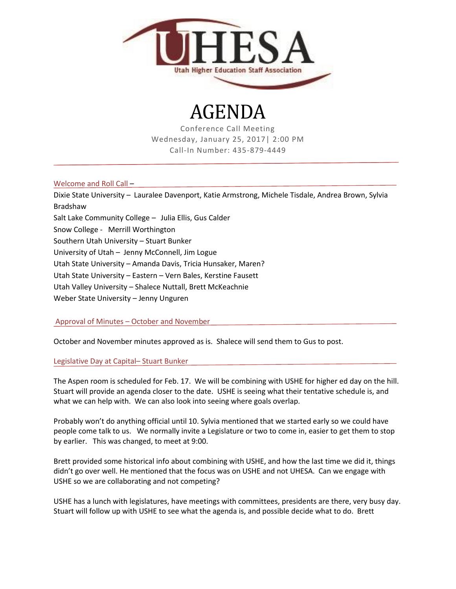

# AGENDA

Conference Call Meeting Wednesday, January 25, 2017| 2:00 PM Call-In Number: 435-879-4449

## Welcome and Roll Call –

Dixie State University – Lauralee Davenport, Katie Armstrong, Michele Tisdale, Andrea Brown, Sylvia Bradshaw Salt Lake Community College – Julia Ellis, Gus Calder Snow College - Merrill Worthington Southern Utah University – Stuart Bunker University of Utah – Jenny McConnell, Jim Logue Utah State University – Amanda Davis, Tricia Hunsaker, Maren? Utah State University – Eastern – Vern Bales, Kerstine Fausett Utah Valley University – Shalece Nuttall, Brett McKeachnie Weber State University – Jenny Unguren

# Approval of Minutes – October and November

October and November minutes approved as is. Shalece will send them to Gus to post.

## Legislative Day at Capital– Stuart Bunker

The Aspen room is scheduled for Feb. 17. We will be combining with USHE for higher ed day on the hill. Stuart will provide an agenda closer to the date. USHE is seeing what their tentative schedule is, and what we can help with. We can also look into seeing where goals overlap.

Probably won't do anything official until 10. Sylvia mentioned that we started early so we could have people come talk to us. We normally invite a Legislature or two to come in, easier to get them to stop by earlier. This was changed, to meet at 9:00.

Brett provided some historical info about combining with USHE, and how the last time we did it, things didn't go over well. He mentioned that the focus was on USHE and not UHESA. Can we engage with USHE so we are collaborating and not competing?

USHE has a lunch with legislatures, have meetings with committees, presidents are there, very busy day. Stuart will follow up with USHE to see what the agenda is, and possible decide what to do. Brett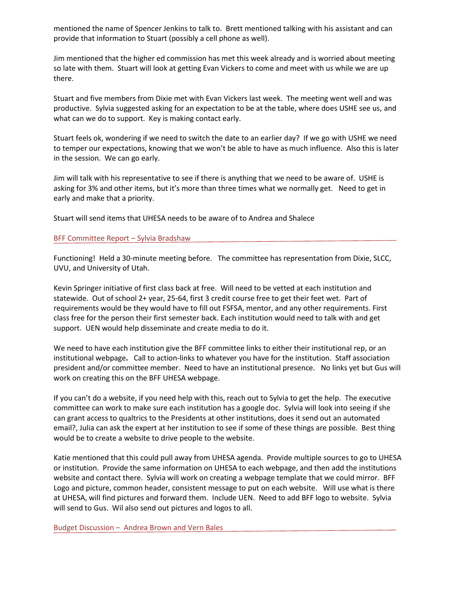mentioned the name of Spencer Jenkins to talk to. Brett mentioned talking with his assistant and can provide that information to Stuart (possibly a cell phone as well).

Jim mentioned that the higher ed commission has met this week already and is worried about meeting so late with them. Stuart will look at getting Evan Vickers to come and meet with us while we are up there.

Stuart and five members from Dixie met with Evan Vickers last week. The meeting went well and was productive. Sylvia suggested asking for an expectation to be at the table, where does USHE see us, and what can we do to support. Key is making contact early.

Stuart feels ok, wondering if we need to switch the date to an earlier day? If we go with USHE we need to temper our expectations, knowing that we won't be able to have as much influence. Also this is later in the session. We can go early.

Jim will talk with his representative to see if there is anything that we need to be aware of. USHE is asking for 3% and other items, but it's more than three times what we normally get. Need to get in early and make that a priority.

Stuart will send items that UHESA needs to be aware of to Andrea and Shalece

#### BFF Committee Report – Sylvia Bradshaw

Functioning! Held a 30-minute meeting before. The committee has representation from Dixie, SLCC, UVU, and University of Utah.

Kevin Springer initiative of first class back at free. Will need to be vetted at each institution and statewide. Out of school 2+ year, 25-64, first 3 credit course free to get their feet wet. Part of requirements would be they would have to fill out FSFSA, mentor, and any other requirements. First class free for the person their first semester back. Each institution would need to talk with and get support. UEN would help disseminate and create media to do it.

We need to have each institution give the BFF committee links to either their institutional rep, or an institutional webpage**.** Call to action-links to whatever you have for the institution. Staff association president and/or committee member. Need to have an institutional presence. No links yet but Gus will work on creating this on the BFF UHESA webpage.

If you can't do a website, if you need help with this, reach out to Sylvia to get the help. The executive committee can work to make sure each institution has a google doc. Sylvia will look into seeing if she can grant access to qualtrics to the Presidents at other institutions, does it send out an automated email?, Julia can ask the expert at her institution to see if some of these things are possible. Best thing would be to create a website to drive people to the website.

Katie mentioned that this could pull away from UHESA agenda. Provide multiple sources to go to UHESA or institution. Provide the same information on UHESA to each webpage, and then add the institutions website and contact there. Sylvia will work on creating a webpage template that we could mirror. BFF Logo and picture, common header, consistent message to put on each website. Will use what is there at UHESA, will find pictures and forward them. Include UEN. Need to add BFF logo to website. Sylvia will send to Gus. Wil also send out pictures and logos to all.

Budget Discussion – Andrea Brown and Vern Bales